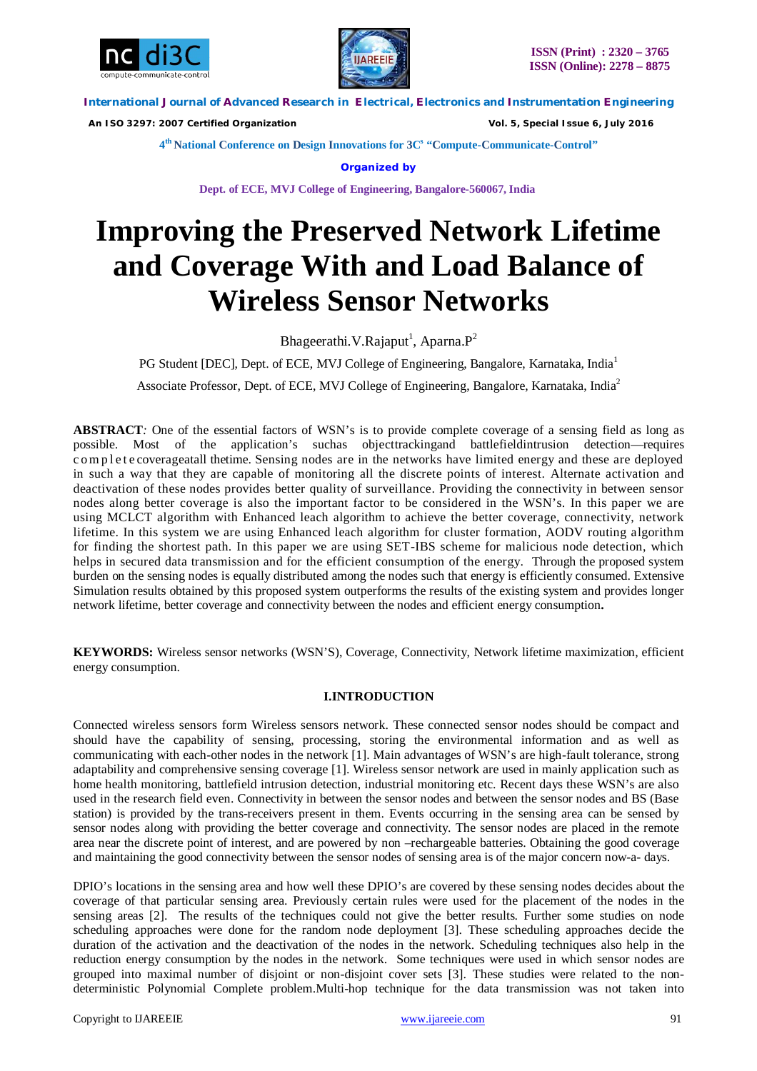



 *An ISO 3297: 2007 Certified Organization Vol. 5, Special Issue 6, July 2016*

**4 th National Conference on Design Innovations for 3C s "Compute-Communicate-Control"** 

**Organized by**

**Dept. of ECE, MVJ College of Engineering, Bangalore-560067, India**

# **Improving the Preserved Network Lifetime and Coverage With and Load Balance of Wireless Sensor Networks**

Bhageerathi. V.Rajaput<sup>1</sup>, Aparna. P<sup>2</sup>

PG Student [DEC], Dept. of ECE, MVJ College of Engineering, Bangalore, Karnataka, India<sup>1</sup>

Associate Professor, Dept. of ECE, MVJ College of Engineering, Bangalore, Karnataka, India<sup>2</sup>

**ABSTRACT***:* One of the essential factors of WSN's is to provide complete coverage of a sensing field as long as possible. Most of the application's suchas objecttrackingand battlefieldintrusion detection—requires c om p l e t e coverageatall thetime. Sensing nodes are in the networks have limited energy and these are deployed in such a way that they are capable of monitoring all the discrete points of interest. Alternate activation and deactivation of these nodes provides better quality of surveillance. Providing the connectivity in between sensor nodes along better coverage is also the important factor to be considered in the WSN's. In this paper we are using MCLCT algorithm with Enhanced leach algorithm to achieve the better coverage, connectivity, network lifetime. In this system we are using Enhanced leach algorithm for cluster formation, AODV routing algorithm for finding the shortest path. In this paper we are using SET-IBS scheme for malicious node detection, which helps in secured data transmission and for the efficient consumption of the energy. Through the proposed system burden on the sensing nodes is equally distributed among the nodes such that energy is efficiently consumed. Extensive Simulation results obtained by this proposed system outperforms the results of the existing system and provides longer network lifetime, better coverage and connectivity between the nodes and efficient energy consumption**.**

**KEYWORDS:** Wireless sensor networks (WSN'S), Coverage, Connectivity, Network lifetime maximization, efficient energy consumption.

# **I.INTRODUCTION**

Connected wireless sensors form Wireless sensors network. These connected sensor nodes should be compact and should have the capability of sensing, processing, storing the environmental information and as well as communicating with each-other nodes in the network [1]. Main advantages of WSN's are high-fault tolerance, strong adaptability and comprehensive sensing coverage [1]. Wireless sensor network are used in mainly application such as home health monitoring, battlefield intrusion detection, industrial monitoring etc. Recent days these WSN's are also used in the research field even. Connectivity in between the sensor nodes and between the sensor nodes and BS (Base station) is provided by the trans-receivers present in them. Events occurring in the sensing area can be sensed by sensor nodes along with providing the better coverage and connectivity. The sensor nodes are placed in the remote area near the discrete point of interest, and are powered by non –rechargeable batteries. Obtaining the good coverage and maintaining the good connectivity between the sensor nodes of sensing area is of the major concern now-a- days.

DPIO's locations in the sensing area and how well these DPIO's are covered by these sensing nodes decides about the coverage of that particular sensing area. Previously certain rules were used for the placement of the nodes in the sensing areas [2]. The results of the techniques could not give the better results. Further some studies on node scheduling approaches were done for the random node deployment [3]. These scheduling approaches decide the duration of the activation and the deactivation of the nodes in the network. Scheduling techniques also help in the reduction energy consumption by the nodes in the network. Some techniques were used in which sensor nodes are grouped into maximal number of disjoint or non-disjoint cover sets [3]. These studies were related to the nondeterministic Polynomial Complete problem.Multi-hop technique for the data transmission was not taken into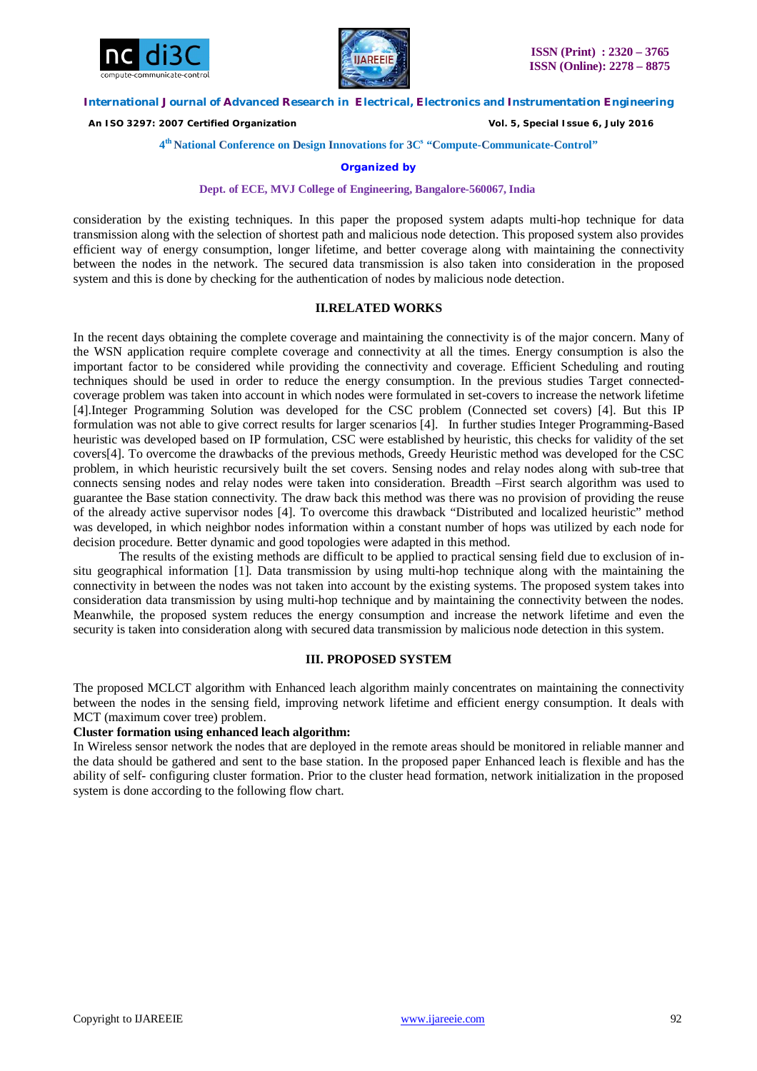



 *An ISO 3297: 2007 Certified Organization Vol. 5, Special Issue 6, July 2016*

## **4 th National Conference on Design Innovations for 3C s "Compute-Communicate-Control"**

## **Organized by**

#### **Dept. of ECE, MVJ College of Engineering, Bangalore-560067, India**

consideration by the existing techniques. In this paper the proposed system adapts multi-hop technique for data transmission along with the selection of shortest path and malicious node detection. This proposed system also provides efficient way of energy consumption, longer lifetime, and better coverage along with maintaining the connectivity between the nodes in the network. The secured data transmission is also taken into consideration in the proposed system and this is done by checking for the authentication of nodes by malicious node detection.

# **II.RELATED WORKS**

In the recent days obtaining the complete coverage and maintaining the connectivity is of the major concern. Many of the WSN application require complete coverage and connectivity at all the times. Energy consumption is also the important factor to be considered while providing the connectivity and coverage. Efficient Scheduling and routing techniques should be used in order to reduce the energy consumption. In the previous studies Target connectedcoverage problem was taken into account in which nodes were formulated in set-covers to increase the network lifetime [4].Integer Programming Solution was developed for the CSC problem (Connected set covers) [4]. But this IP formulation was not able to give correct results for larger scenarios [4]. In further studies Integer Programming-Based heuristic was developed based on IP formulation, CSC were established by heuristic, this checks for validity of the set covers[4]. To overcome the drawbacks of the previous methods, Greedy Heuristic method was developed for the CSC problem, in which heuristic recursively built the set covers. Sensing nodes and relay nodes along with sub-tree that connects sensing nodes and relay nodes were taken into consideration. Breadth –First search algorithm was used to guarantee the Base station connectivity. The draw back this method was there was no provision of providing the reuse of the already active supervisor nodes [4]. To overcome this drawback "Distributed and localized heuristic" method was developed, in which neighbor nodes information within a constant number of hops was utilized by each node for decision procedure. Better dynamic and good topologies were adapted in this method.

The results of the existing methods are difficult to be applied to practical sensing field due to exclusion of insitu geographical information [1]. Data transmission by using multi-hop technique along with the maintaining the connectivity in between the nodes was not taken into account by the existing systems. The proposed system takes into consideration data transmission by using multi-hop technique and by maintaining the connectivity between the nodes. Meanwhile, the proposed system reduces the energy consumption and increase the network lifetime and even the security is taken into consideration along with secured data transmission by malicious node detection in this system.

## **III. PROPOSED SYSTEM**

The proposed MCLCT algorithm with Enhanced leach algorithm mainly concentrates on maintaining the connectivity between the nodes in the sensing field, improving network lifetime and efficient energy consumption. It deals with MCT (maximum cover tree) problem.

# **Cluster formation using enhanced leach algorithm:**

In Wireless sensor network the nodes that are deployed in the remote areas should be monitored in reliable manner and the data should be gathered and sent to the base station. In the proposed paper Enhanced leach is flexible and has the ability of self- configuring cluster formation. Prior to the cluster head formation, network initialization in the proposed system is done according to the following flow chart.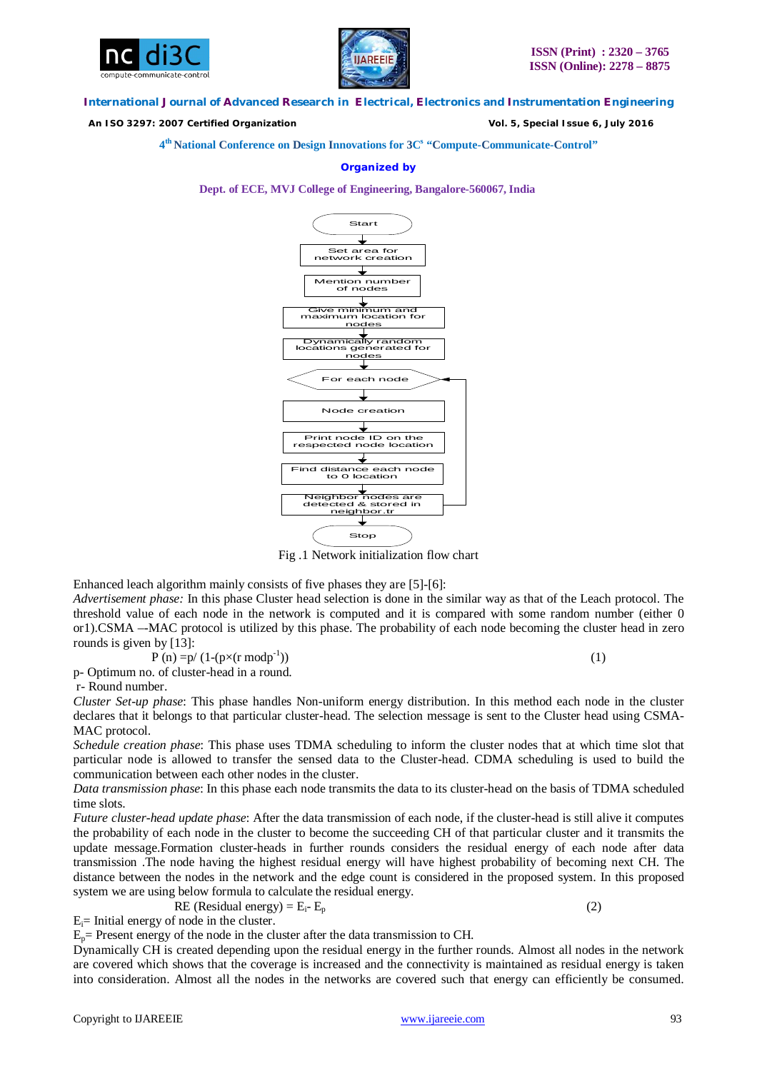



 *An ISO 3297: 2007 Certified Organization Vol. 5, Special Issue 6, July 2016*

**4 th National Conference on Design Innovations for 3C s "Compute-Communicate-Control"** 

## **Organized by**

**Dept. of ECE, MVJ College of Engineering, Bangalore-560067, India**



Fig .1 Network initialization flow chart

Enhanced leach algorithm mainly consists of five phases they are [5]-[6]:

*Advertisement phase:* In this phase Cluster head selection is done in the similar way as that of the Leach protocol. The threshold value of each node in the network is computed and it is compared with some random number (either 0 or1).CSMA –-MAC protocol is utilized by this phase. The probability of each node becoming the cluster head in zero rounds is given by [13]:

$$
P(n) = p/(1-(p \times (r \mod p^{-1}))
$$
 (1)

p- Optimum no. of cluster-head in a round.

r- Round number.

*Cluster Set-up phase*: This phase handles Non-uniform energy distribution. In this method each node in the cluster declares that it belongs to that particular cluster-head. The selection message is sent to the Cluster head using CSMA-MAC protocol.

*Schedule creation phase*: This phase uses TDMA scheduling to inform the cluster nodes that at which time slot that particular node is allowed to transfer the sensed data to the Cluster-head. CDMA scheduling is used to build the communication between each other nodes in the cluster.

*Data transmission phase*: In this phase each node transmits the data to its cluster-head on the basis of TDMA scheduled time slots.

*Future cluster-head update phase*: After the data transmission of each node, if the cluster-head is still alive it computes the probability of each node in the cluster to become the succeeding CH of that particular cluster and it transmits the update message.Formation cluster-heads in further rounds considers the residual energy of each node after data transmission .The node having the highest residual energy will have highest probability of becoming next CH. The distance between the nodes in the network and the edge count is considered in the proposed system. In this proposed system we are using below formula to calculate the residual energy.

RE (Residual energy) =  $E_i$ -  $E_n$  (2)

 $E_i$ = Initial energy of node in the cluster.

 $E_p$  Present energy of the node in the cluster after the data transmission to CH.

Dynamically CH is created depending upon the residual energy in the further rounds. Almost all nodes in the network are covered which shows that the coverage is increased and the connectivity is maintained as residual energy is taken into consideration. Almost all the nodes in the networks are covered such that energy can efficiently be consumed.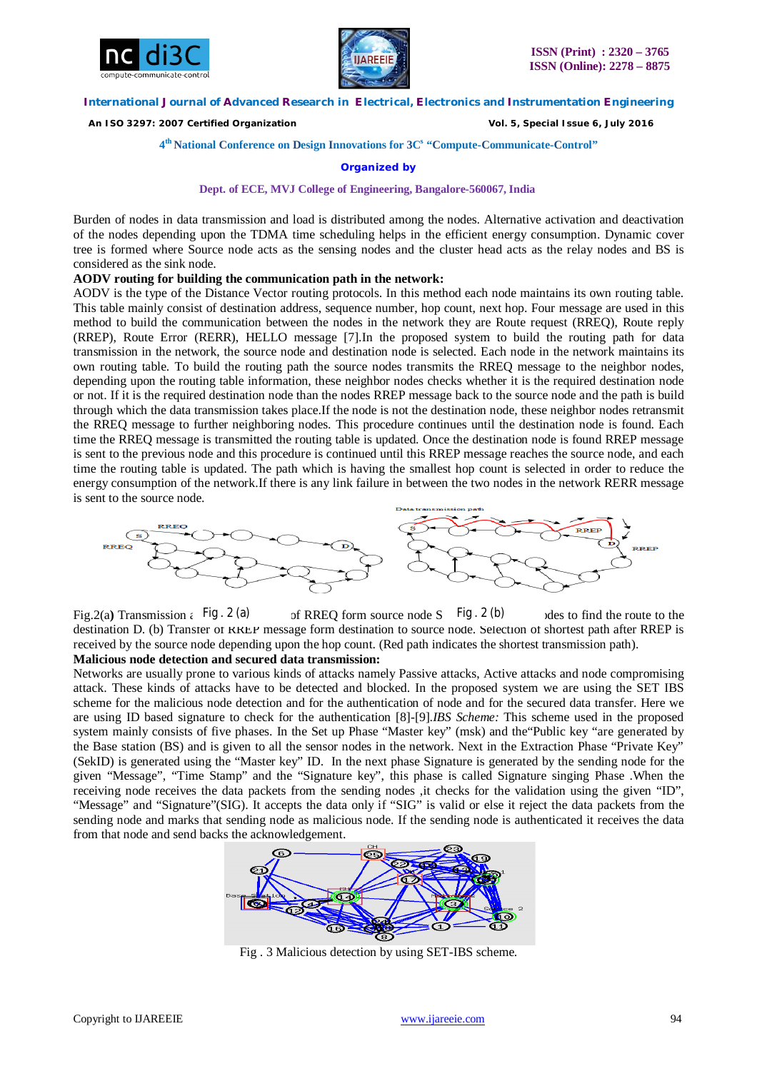



 *An ISO 3297: 2007 Certified Organization Vol. 5, Special Issue 6, July 2016*

## **4 th National Conference on Design Innovations for 3C s "Compute-Communicate-Control"**

**Organized by**

#### **Dept. of ECE, MVJ College of Engineering, Bangalore-560067, India**

Burden of nodes in data transmission and load is distributed among the nodes. Alternative activation and deactivation of the nodes depending upon the TDMA time scheduling helps in the efficient energy consumption. Dynamic cover tree is formed where Source node acts as the sensing nodes and the cluster head acts as the relay nodes and BS is considered as the sink node.

#### **AODV routing for building the communication path in the network:**

AODV is the type of the Distance Vector routing protocols. In this method each node maintains its own routing table. This table mainly consist of destination address, sequence number, hop count, next hop. Four message are used in this method to build the communication between the nodes in the network they are Route request (RREQ), Route reply (RREP), Route Error (RERR), HELLO message [7].In the proposed system to build the routing path for data transmission in the network, the source node and destination node is selected. Each node in the network maintains its own routing table. To build the routing path the source nodes transmits the RREQ message to the neighbor nodes, depending upon the routing table information, these neighbor nodes checks whether it is the required destination node or not. If it is the required destination node than the nodes RREP message back to the source node and the path is build through which the data transmission takes place.If the node is not the destination node, these neighbor nodes retransmit the RREQ message to further neighboring nodes. This procedure continues until the destination node is found. Each time the RREQ message is transmitted the routing table is updated. Once the destination node is found RREP message is sent to the previous node and this procedure is continued until this RREP message reaches the source node, and each time the routing table is updated. The path which is having the smallest hop count is selected in order to reduce the energy consumption of the network.If there is any link failure in between the two nodes in the network RERR message is sent to the source node.



Fig.2(a) Transmission  $\epsilon$  Fig  $\cdot$  2 (a) of RREQ form source node S Fig  $\cdot$  2 (b) ales to find the route to the destination D. (b) Transfer of RREP message form destination to source node. Selection of shortest path after RREP is received by the source node depending upon the hop count. (Red path indicates the shortest transmission path). **Malicious node detection and secured data transmission:** 

Networks are usually prone to various kinds of attacks namely Passive attacks, Active attacks and node compromising attack. These kinds of attacks have to be detected and blocked. In the proposed system we are using the SET IBS scheme for the malicious node detection and for the authentication of node and for the secured data transfer. Here we are using ID based signature to check for the authentication [8]-[9].*IBS Scheme:* This scheme used in the proposed system mainly consists of five phases. In the Set up Phase "Master key" (msk) and the"Public key "are generated by the Base station (BS) and is given to all the sensor nodes in the network. Next in the Extraction Phase "Private Key" (SekID) is generated using the "Master key" ID. In the next phase Signature is generated by the sending node for the given "Message", "Time Stamp" and the "Signature key", this phase is called Signature singing Phase .When the receiving node receives the data packets from the sending nodes ,it checks for the validation using the given "ID", "Message" and "Signature"(SIG). It accepts the data only if "SIG" is valid or else it reject the data packets from the sending node and marks that sending node as malicious node. If the sending node is authenticated it receives the data from that node and send backs the acknowledgement.



Fig . 3 Malicious detection by using SET-IBS scheme.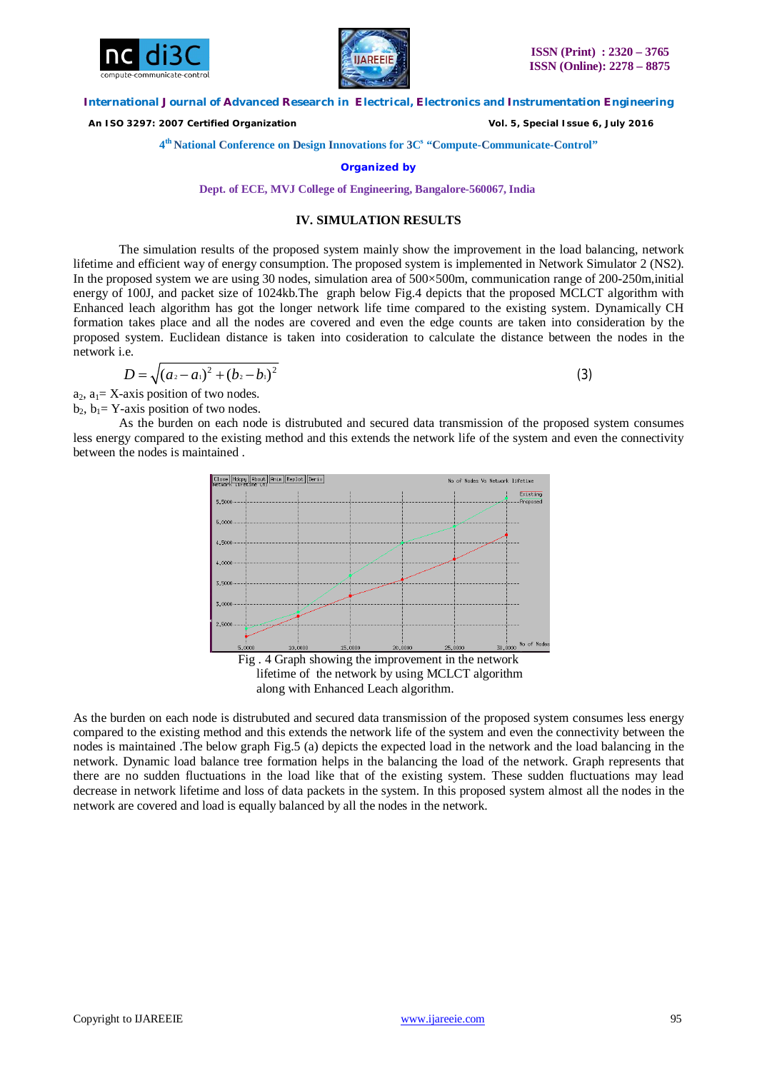



 *An ISO 3297: 2007 Certified Organization Vol. 5, Special Issue 6, July 2016*

**4 th National Conference on Design Innovations for 3C s "Compute-Communicate-Control"** 

**Organized by**

**Dept. of ECE, MVJ College of Engineering, Bangalore-560067, India**

# **IV. SIMULATION RESULTS**

The simulation results of the proposed system mainly show the improvement in the load balancing, network lifetime and efficient way of energy consumption. The proposed system is implemented in Network Simulator 2 (NS2). In the proposed system we are using 30 nodes, simulation area of 500×500m, communication range of 200-250m,initial energy of 100J, and packet size of 1024kb.The graph below Fig.4 depicts that the proposed MCLCT algorithm with Enhanced leach algorithm has got the longer network life time compared to the existing system. Dynamically CH formation takes place and all the nodes are covered and even the edge counts are taken into consideration by the proposed system. Euclidean distance is taken into cosideration to calculate the distance between the nodes in the network i.e.

$$
D = \sqrt{(a_2 - a_1)^2 + (b_2 - b_1)^2}
$$
 (3)

 $a_2$ ,  $a_1 = X$ -axis position of two nodes.  $b_2$ ,  $b_1 = Y$ -axis position of two nodes.

As the burden on each node is distrubuted and secured data transmission of the proposed system consumes less energy compared to the existing method and this extends the network life of the system and even the connectivity between the nodes is maintained .



along with Enhanced Leach algorithm.

As the burden on each node is distrubuted and secured data transmission of the proposed system consumes less energy compared to the existing method and this extends the network life of the system and even the connectivity between the nodes is maintained .The below graph Fig.5 (a) depicts the expected load in the network and the load balancing in the network. Dynamic load balance tree formation helps in the balancing the load of the network. Graph represents that there are no sudden fluctuations in the load like that of the existing system. These sudden fluctuations may lead decrease in network lifetime and loss of data packets in the system. In this proposed system almost all the nodes in the network are covered and load is equally balanced by all the nodes in the network.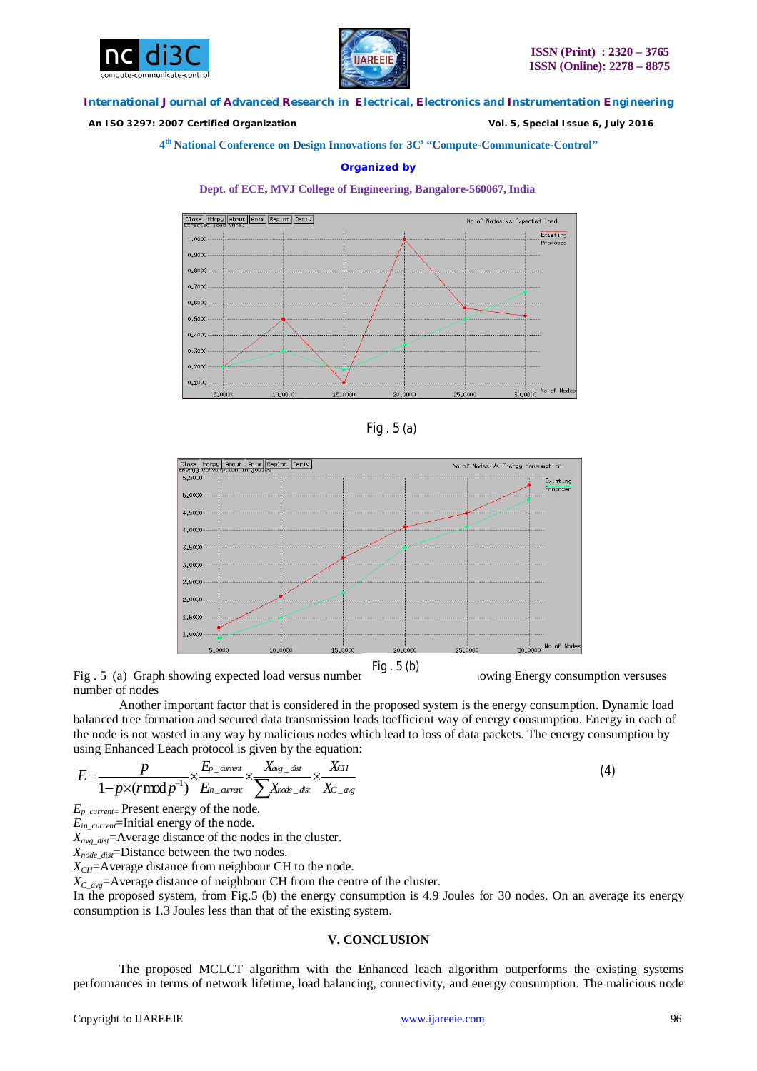



 *An ISO 3297: 2007 Certified Organization Vol. 5, Special Issue 6, July 2016*

## **4 th National Conference on Design Innovations for 3C s "Compute-Communicate-Control"**

## **Organized by**









Fig. 5 (a) Graph showing expected load versus number  $\frac{1}{9}$ .  $\frac{1}{9}$  Graph showing Energy consumption versuses number of nodes

Another important factor that is considered in the proposed system is the energy consumption. Dynamic load balanced tree formation and secured data transmission leads toefficient way of energy consumption. Energy in each of the node is not wasted in any way by malicious nodes which lead to loss of data packets. The energy consumption by using Enhanced Leach protocol is given by the equation:

$$
E=\frac{p}{1-p\times(r\,mod\:p^{-1})}\times\frac{E_{p\_current}}{E_{m\_current}}\times\frac{X_{\alpha g\_dist}}{\sum X_{\alpha d s}}\times\frac{X_{CH}}{X_{C\_avg}}
$$

*Ep\_current=* Present energy of the node.

 $E_{in}$ <sub>current</sub>=Initial energy of the node.

*Xavg\_dist*=Average distance of the nodes in the cluster.

*Xnode\_dist*=Distance between the two nodes.

 $X_{CH}$ =Average distance from neighbour CH to the node.

*XC\_avg*=Average distance of neighbour CH from the centre of the cluster.

In the proposed system, from Fig.5 (b) the energy consumption is 4.9 Joules for 30 nodes. On an average its energy consumption is 1.3 Joules less than that of the existing system.

## **V. CONCLUSION**

The proposed MCLCT algorithm with the Enhanced leach algorithm outperforms the existing systems performances in terms of network lifetime, load balancing, connectivity, and energy consumption. The malicious node

(4)